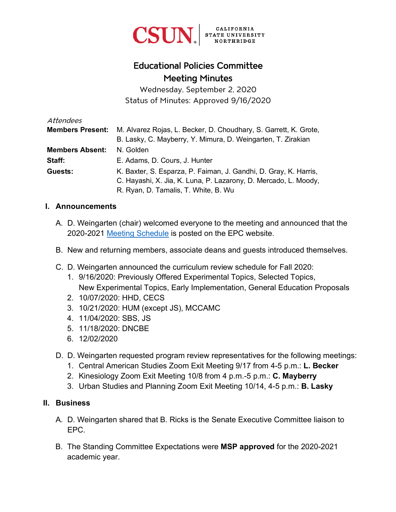

## Educational Policies Committee Meeting Minutes

Wednesday, September 2, 2020 Status of Minutes: Approved 9/16/2020

| Attendees               |                                                                  |
|-------------------------|------------------------------------------------------------------|
| <b>Members Present:</b> | M. Alvarez Rojas, L. Becker, D. Choudhary, S. Garrett, K. Grote, |
|                         | B. Lasky, C. Mayberry, Y. Mimura, D. Weingarten, T. Zirakian     |
| <b>Members Absent:</b>  | N. Golden                                                        |
| Staff:                  | E. Adams, D. Cours, J. Hunter                                    |
| Guests:                 | K. Baxter, S. Esparza, P. Faiman, J. Gandhi, D. Gray, K. Harris, |
|                         | C. Hayashi, X. Jia, K. Luna, P. Lazarony, D. Mercado, L. Moody,  |
|                         | R. Ryan, D. Tamalis, T. White, B. Wu                             |

## **I. Announcements**

- A. D. Weingarten (chair) welcomed everyone to the meeting and announced that the 2020-2021 [Meeting Schedule](https://www.csun.edu/educational-policies-committee/meeting-dates) is posted on the EPC website.
- B. New and returning members, associate deans and guests introduced themselves.
- C. D. Weingarten announced the curriculum review schedule for Fall 2020:
	- 1. 9/16/2020: Previously Offered Experimental Topics, Selected Topics, New Experimental Topics, Early Implementation, General Education Proposals
	- 2. 10/07/2020: HHD, CECS
	- 3. 10/21/2020: HUM (except JS), MCCAMC
	- 4. 11/04/2020: SBS, JS
	- 5. 11/18/2020: DNCBE
	- 6. 12/02/2020
- D. D. Weingarten requested program review representatives for the following meetings:
	- 1. Central American Studies Zoom Exit Meeting 9/17 from 4-5 p.m.: **L. Becker**
	- 2. Kinesiology Zoom Exit Meeting 10/8 from 4 p.m.-5 p.m.: **C. Mayberry**
	- 3. Urban Studies and Planning Zoom Exit Meeting 10/14, 4-5 p.m.: **B. Lasky**

## **II. Business**

- A. D. Weingarten shared that B. Ricks is the Senate Executive Committee liaison to EPC.
- B. The Standing Committee Expectations were **MSP approved** for the 2020-2021 academic year.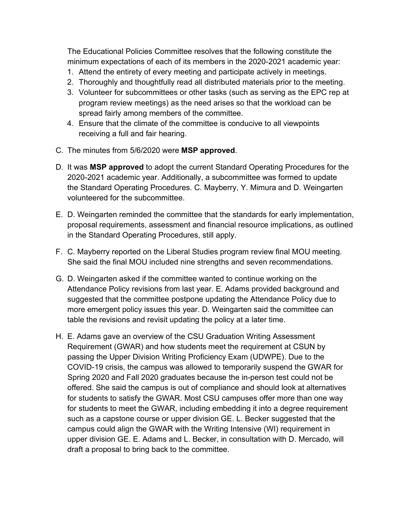The Educational Policies Committee resolves that the following constitute the minimum expectations of each of its members in the 2020-2021 academic year:

- 1. Attend the entirety of every meeting and participate actively in meetings.
- 2. Thoroughly and thoughtfully read all distributed materials prior to the meeting.
- 3. Volunteer for subcommittees or other tasks (such as serving as the EPC rep at program review meetings) as the need arises so that the workload can be spread fairly among members of the committee.
- 4. Ensure that the climate of the committee is conducive to all viewpoints receiving a full and fair hearing.
- C. The minutes from 5/6/2020 were **MSP approved**.
- D. It was **MSP approved** to adopt the current Standard Operating Procedures for the 2020-2021 academic year. Additionally, a subcommittee was formed to update the Standard Operating Procedures. C. Mayberry, Y. Mimura and D. Weingarten volunteered for the subcommittee.
- E. D. Weingarten reminded the committee that the standards for early implementation, proposal requirements, assessment and financial resource implications, as outlined in the Standard Operating Procedures, still apply.
- F. C. Mayberry reported on the Liberal Studies program review final MOU meeting. She said the final MOU included nine strengths and seven recommendations.
- G. D. Weingarten asked if the committee wanted to continue working on the Attendance Policy revisions from last year. E. Adams provided background and suggested that the committee postpone updating the Attendance Policy due to more emergent policy issues this year. D. Weingarten said the committee can table the revisions and revisit updating the policy at a later time.
- H. E. Adams gave an overview of the CSU Graduation Writing Assessment Requirement (GWAR) and how students meet the requirement at CSUN by passing the Upper Division Writing Proficiency Exam (UDWPE). Due to the COVID-19 crisis, the campus was allowed to temporarily suspend the GWAR for Spring 2020 and Fall 2020 graduates because the in-person test could not be offered. She said the campus is out of compliance and should look at alternatives for students to satisfy the GWAR. Most CSU campuses offer more than one way for students to meet the GWAR, including embedding it into a degree requirement such as a capstone course or upper division GE. L. Becker suggested that the campus could align the GWAR with the Writing Intensive (WI) requirement in upper division GE. E. Adams and L. Becker, in consultation with D. Mercado, will draft a proposal to bring back to the committee.